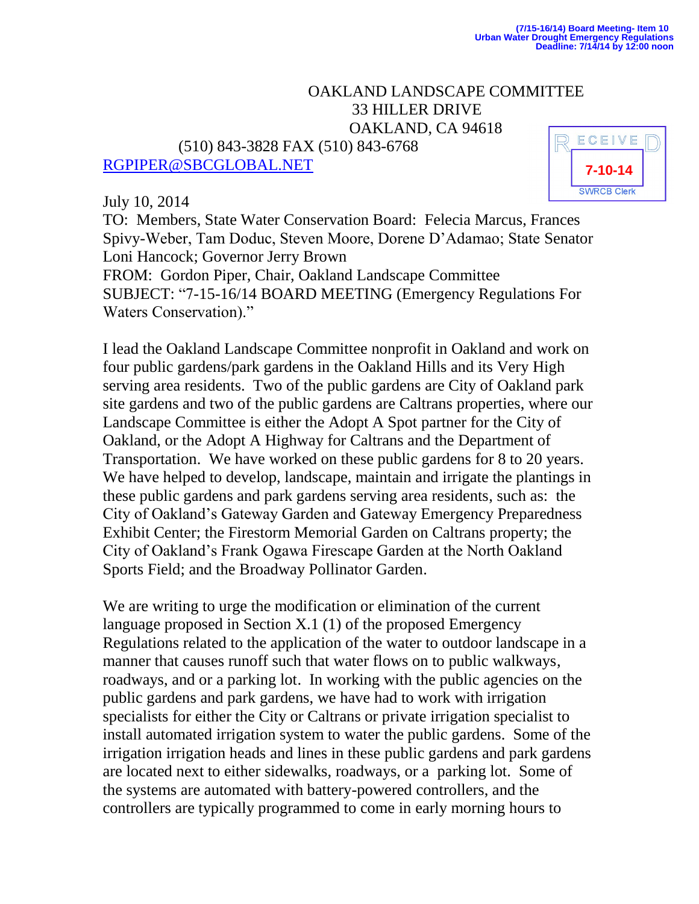## OAKLAND LANDSCAPE COMMITTEE 33 HILLER DRIVE OAKLAND, CA 94618

 (510) 843-3828 FAX (510) 843-6768 [RGPIPER@SBCGLOBAL.NET](mailto:RGPIPER@SBCGLOBAL.NET)

July 10, 2014



TO: Members, State Water Conservation Board: Felecia Marcus, Frances Spivy-Weber, Tam Doduc, Steven Moore, Dorene D'Adamao; State Senator Loni Hancock; Governor Jerry Brown FROM: Gordon Piper, Chair, Oakland Landscape Committee

SUBJECT: "7-15-16/14 BOARD MEETING (Emergency Regulations For Waters Conservation)."

I lead the Oakland Landscape Committee nonprofit in Oakland and work on four public gardens/park gardens in the Oakland Hills and its Very High serving area residents. Two of the public gardens are City of Oakland park site gardens and two of the public gardens are Caltrans properties, where our Landscape Committee is either the Adopt A Spot partner for the City of Oakland, or the Adopt A Highway for Caltrans and the Department of Transportation. We have worked on these public gardens for 8 to 20 years. We have helped to develop, landscape, maintain and irrigate the plantings in these public gardens and park gardens serving area residents, such as: the City of Oakland's Gateway Garden and Gateway Emergency Preparedness Exhibit Center; the Firestorm Memorial Garden on Caltrans property; the City of Oakland's Frank Ogawa Firescape Garden at the North Oakland Sports Field; and the Broadway Pollinator Garden.

We are writing to urge the modification or elimination of the current language proposed in Section X.1 (1) of the proposed Emergency Regulations related to the application of the water to outdoor landscape in a manner that causes runoff such that water flows on to public walkways, roadways, and or a parking lot. In working with the public agencies on the public gardens and park gardens, we have had to work with irrigation specialists for either the City or Caltrans or private irrigation specialist to install automated irrigation system to water the public gardens. Some of the irrigation irrigation heads and lines in these public gardens and park gardens are located next to either sidewalks, roadways, or a parking lot. Some of the systems are automated with battery-powered controllers, and the controllers are typically programmed to come in early morning hours to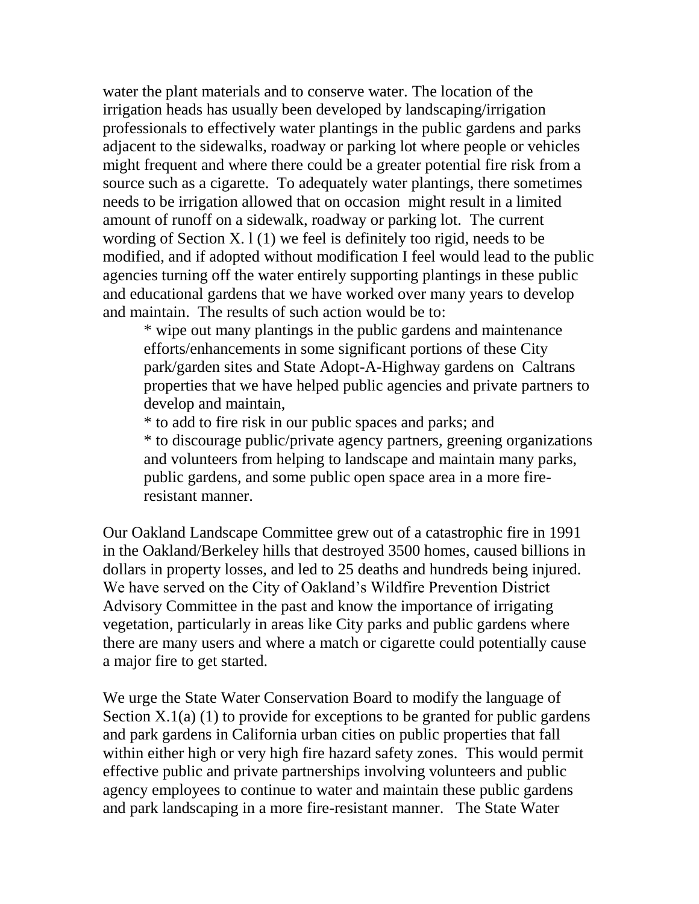water the plant materials and to conserve water. The location of the irrigation heads has usually been developed by landscaping/irrigation professionals to effectively water plantings in the public gardens and parks adjacent to the sidewalks, roadway or parking lot where people or vehicles might frequent and where there could be a greater potential fire risk from a source such as a cigarette. To adequately water plantings, there sometimes needs to be irrigation allowed that on occasion might result in a limited amount of runoff on a sidewalk, roadway or parking lot. The current wording of Section X.  $1(1)$  we feel is definitely too rigid, needs to be modified, and if adopted without modification I feel would lead to the public agencies turning off the water entirely supporting plantings in these public and educational gardens that we have worked over many years to develop and maintain. The results of such action would be to:

\* wipe out many plantings in the public gardens and maintenance efforts/enhancements in some significant portions of these City park/garden sites and State Adopt-A-Highway gardens on Caltrans properties that we have helped public agencies and private partners to develop and maintain,

\* to add to fire risk in our public spaces and parks; and \* to discourage public/private agency partners, greening organizations and volunteers from helping to landscape and maintain many parks, public gardens, and some public open space area in a more fireresistant manner.

Our Oakland Landscape Committee grew out of a catastrophic fire in 1991 in the Oakland/Berkeley hills that destroyed 3500 homes, caused billions in dollars in property losses, and led to 25 deaths and hundreds being injured. We have served on the City of Oakland's Wildfire Prevention District Advisory Committee in the past and know the importance of irrigating vegetation, particularly in areas like City parks and public gardens where there are many users and where a match or cigarette could potentially cause a major fire to get started.

We urge the State Water Conservation Board to modify the language of Section  $X.1(a)$  (1) to provide for exceptions to be granted for public gardens and park gardens in California urban cities on public properties that fall within either high or very high fire hazard safety zones. This would permit effective public and private partnerships involving volunteers and public agency employees to continue to water and maintain these public gardens and park landscaping in a more fire-resistant manner. The State Water